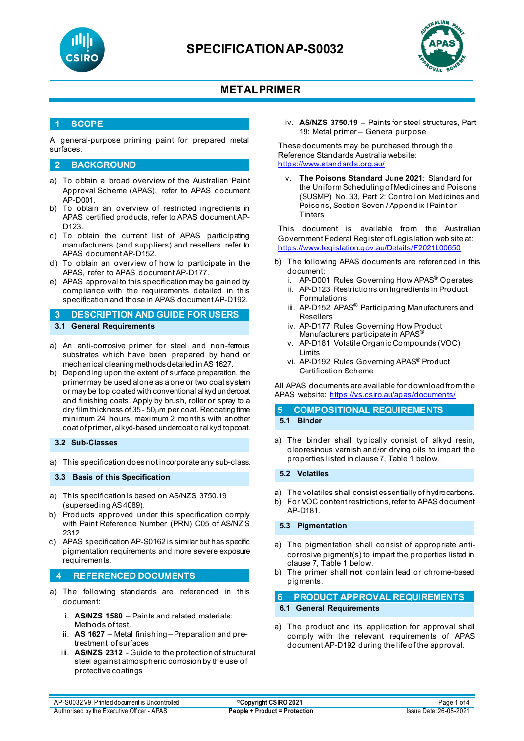



### **1 SCOPE**

A general-purpose priming paint for prepared metal surfaces.

### **2 BACKGROUND**

- a) To obtain a broad overview of the Australian Paint Approval Scheme (APAS), refer to APAS document AP-D001.
- b) To obtain an overview of restricted ingredients in APAS certified products, refer to APAS document AP-D123.
- c) To obtain the current list of APAS participating manufacturers (and suppliers) and resellers, refer to APAS document AP-D152.
- d) To obtain an overview of how to participate in the APAS, refer to APAS document AP-D177.
- e) APAS approval to this specification may be gained by compliance with the requirements detailed in this specification and those in APAS document AP-D192.
- **3 DESCRIPTION AND GUIDE FOR USERS 3.1 General Requirements**
- a) An anti-corrosive primer for steel and non-ferrous substrates which have been prepared by hand or mechanical cleaning methods detailed in AS 1627.
- b) Depending upon the extent of surface preparation, the primer may be used alone as a one or two coat system or may be top coated with conventional alkyd undercoat and finishing coats. Apply by brush, roller or spray to a dry film thickness of 35 - 50µm per coat. Recoating time minimum 24 hours, maximum 2 months with another coat of primer, alkyd-based undercoat or alkyd topcoat.

### **3.2 Sub-Classes**

a) This specification does not incorporate any sub-class.

#### **3.3 Basis of this Specification**

- a) This specification is based on AS/NZS 3750.19 (superseding AS 4089).
- b) Products approved under this specification comply with Paint Reference Number (PRN) C05 of AS/NZS 2312.
- c) APAS specification AP-S0162 is similar but has specific pigmentation requirements and more severe exposure requirements.

### **4 REFERENCED DOCUMENTS**

- a) The following standards are referenced in this document:
	- i. **AS/NZS 1580** Paints and related materials: Methods of test.
	- ii. **AS 1627**  Metal finishing Preparation and pretreatment of surfaces
	- iii. **AS/NZS 2312** Guide to the protection of structural steel against atmospheric corrosion by the use of protective coatings

iv. **AS/NZS 3750.19** – Paints for steel structures, Part 19: Metal primer – General purpose

These documents may be purchased through the Reference Standards Australia website: <https://www.standards.org.au/>

v. **The Poisons Standard June 2021**: Standard for the Uniform Scheduling of Medicines and Poisons (SUSMP) No. 33, Part 2: Control on Medicines and Poisons, Section Seven / Appendix I Paint or **Tinters** 

This document is available from the Australian Government Federal Register of Legislation web site at: <https://www.legislation.gov.au/Details/F2021L00650>

- b) The following APAS documents are referenced in this document:
	- i. AP-D001 Rules Governing How APAS® Operates
	- ii. AP-D123 Restrictions on Ingredients in Product Formulations
	- iii. AP-D152 APAS<sup>®</sup> Participating Manufacturers and Resellers
	- iv. AP-D177 Rules Governing How Product Manufacturers participate in APAS®
	- v. AP-D181 Volatile Organic Compounds (VOC) Limits
	- vi. AP-D192 Rules Governing APAS® Product Certification Scheme

All APAS documents are available for download from the APAS website:<https://vs.csiro.au/apas/documents/>

## **5 COMPOSITIONAL REQUIREMENTS 5.1 Binder**

a) The binder shall typically consist of alkyd resin, oleoresinous varnish and/or drying oils to impart the properties listed in clause 7, Table 1 below.

#### **5.2 Volatiles**

- a) The volatiles shall consist essentially of hydrocarbons.
- b) For VOC content restrictions, refer to APAS document AP-D181.

#### **5.3 Pigmentation**

- a) The pigmentation shall consist of appropriate anticorrosive pigment(s) to impart the properties listed in clause 7, Table 1 below.
- b) The primer shall **not** contain lead or chrome-based pigments.

### **6 PRODUCT APPROVAL REQUIREMENTS 6.1 General Requirements**

a) The product and its application for approval shall comply with the relevant requirements of APAS document AP-D192 during the life of the approval.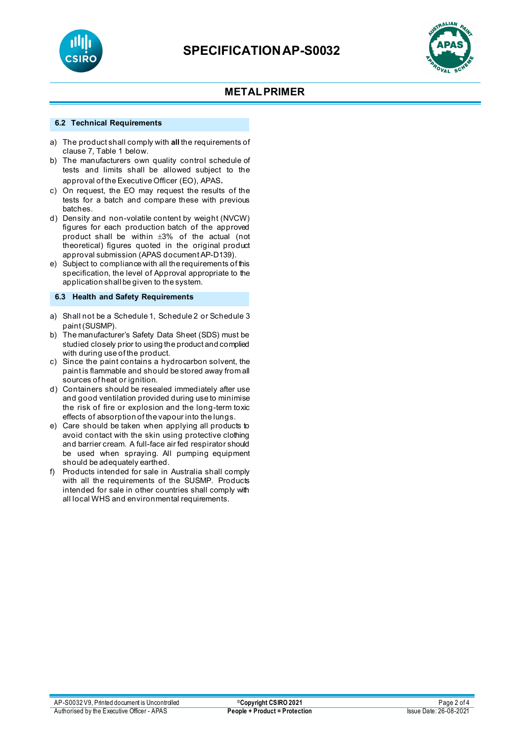



#### **6.2 Technical Requirements**

- a) The product shall comply with **all** the requirements of clause 7, Table 1 below.
- b) The manufacturers own quality control schedule of tests and limits shall be allowed subject to the approval of the Executive Officer (EO), APAS.
- c) On request, the EO may request the results of the tests for a batch and compare these with previous batches.
- d) Density and non-volatile content by weight (NVCW) figures for each production batch of the approved product shall be within ±3% of the actual (not theoretical) figures quoted in the original product approval submission (APAS document AP-D139).
- e) Subject to compliance with all the requirements of this specification, the level of Approval appropriate to the application shall be given to the system.

### **6.3 Health and Safety Requirements**

- a) Shall not be a Schedule 1, Schedule 2 or Schedule 3 paint (SUSMP).
- b) The manufacturer's Safety Data Sheet (SDS) must be studied closely prior to using the product and complied with during use of the product.
- c) Since the paint contains a hydrocarbon solvent, the paint is flammable and should be stored away from all sources of heat or ignition.
- d) Containers should be resealed immediately after use and good ventilation provided during use to minimise the risk of fire or explosion and the long-term toxic effects of absorption of the vapour into the lungs.
- e) Care should be taken when applying all products to avoid contact with the skin using protective clothing and barrier cream. A full-face air fed respirator should be used when spraying. All pumping equipment should be adequately earthed.
- f) Products intended for sale in Australia shall comply with all the requirements of the SUSMP. Products intended for sale in other countries shall comply with all local WHS and environmental requirements.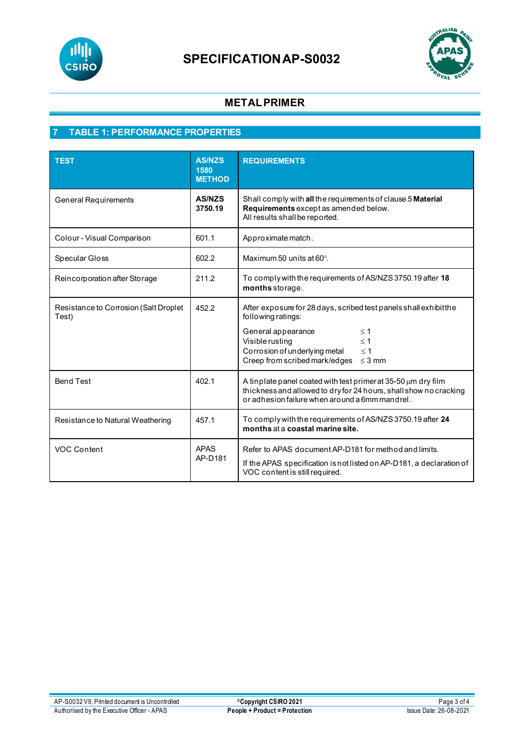



# **7 TABLE 1: PERFORMANCE PROPERTIES**

| <b>TEST</b>                                    | <b>AS/NZS</b><br>1580<br><b>METHOD</b> | <b>REQUIREMENTS</b>                                                                                                                                                                                                                                   |
|------------------------------------------------|----------------------------------------|-------------------------------------------------------------------------------------------------------------------------------------------------------------------------------------------------------------------------------------------------------|
| <b>General Requirements</b>                    | <b>AS/NZS</b><br>3750.19               | Shall comply with all the requirements of clause 5 Material<br>Requirements except as amended below.<br>All results shall be reported.                                                                                                                |
| Colour - Visual Comparison                     | 601.1                                  | Approximate match.                                                                                                                                                                                                                                    |
| Specular Gloss                                 | 602.2                                  | Maximum 50 units at $60^\circ$ .                                                                                                                                                                                                                      |
| Reincorporation after Storage                  | 211.2                                  | To comply with the requirements of AS/NZS 3750.19 after 18<br>months storage.                                                                                                                                                                         |
| Resistance to Corrosion (Salt Droplet<br>Test) | 452.2                                  | After exposure for 28 days, scribed test panels shall exhibit the<br>following ratings:<br>General appearance<br>$\leq$ 1<br>Visible rusting<br>$\leq 1$<br>Corrosion of underlying metal<br>$\leq 1$<br>Creep from scribed mark/edges<br>$\leq$ 3 mm |
| <b>Bend Test</b>                               | 402.1                                  | A tinplate panel coated with test primer at $35-50 \mu m$ dry film<br>thickness and allowed to dry for 24 hours, shall show no cracking<br>or adhesion failure when around a 6mm mandrel.                                                             |
| Resistance to Natural Weathering               | 457.1                                  | To comply with the requirements of AS/NZS 3750.19 after 24<br>months at a coastal marine site.                                                                                                                                                        |
| VOC Content                                    | <b>APAS</b><br>AP-D181                 | Refer to APAS document AP-D181 for method and limits.<br>If the APAS specification is not listed on AP-D181, a declaration of<br>VOC content is still required.                                                                                       |